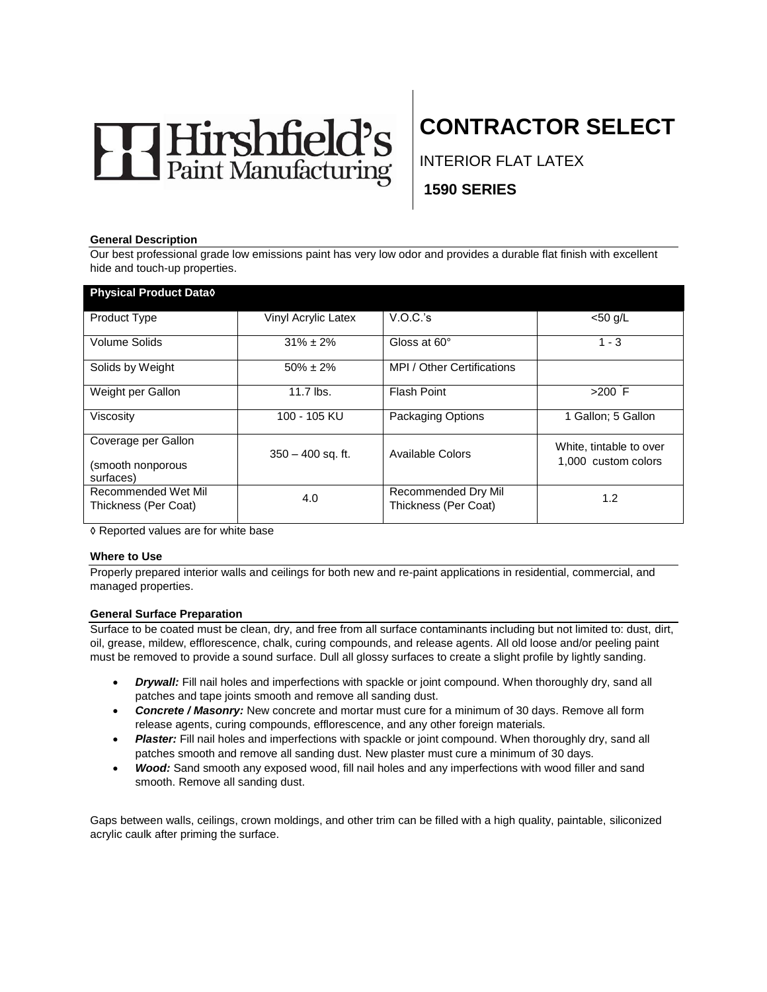# Hirshfield's

# **CONTRACTOR SELECT**

INTERIOR FLAT LATEX

**1590 SERIES** 

#### **General Description**

Our best professional grade low emissions paint has very low odor and provides a durable flat finish with excellent hide and touch-up properties.

| <b>Physical Product Datao</b>                         |                     |                                             |                                                |
|-------------------------------------------------------|---------------------|---------------------------------------------|------------------------------------------------|
| Product Type                                          | Vinyl Acrylic Latex | V.O.C.'s                                    | $<$ 50 g/L                                     |
| Volume Solids                                         | $31\% \pm 2\%$      | Gloss at 60°                                | $1 - 3$                                        |
| Solids by Weight                                      | $50\% \pm 2\%$      | MPI / Other Certifications                  |                                                |
| Weight per Gallon                                     | 11.7 lbs.           | Flash Point                                 | $>200$ F                                       |
| Viscosity                                             | 100 - 105 KU        | <b>Packaging Options</b>                    | 1 Gallon; 5 Gallon                             |
| Coverage per Gallon<br>(smooth nonporous<br>surfaces) | $350 - 400$ sq. ft. | Available Colors                            | White, tintable to over<br>1.000 custom colors |
| Recommended Wet Mil<br>Thickness (Per Coat)           | 4.0                 | Recommended Dry Mil<br>Thickness (Per Coat) | 1.2                                            |

◊ Reported values are for white base

#### **Where to Use**

Properly prepared interior walls and ceilings for both new and re-paint applications in residential, commercial, and managed properties.

#### **General Surface Preparation**

Surface to be coated must be clean, dry, and free from all surface contaminants including but not limited to: dust, dirt, oil, grease, mildew, efflorescence, chalk, curing compounds, and release agents. All old loose and/or peeling paint must be removed to provide a sound surface. Dull all glossy surfaces to create a slight profile by lightly sanding.

- *Drywall:* Fill nail holes and imperfections with spackle or joint compound. When thoroughly dry, sand all patches and tape joints smooth and remove all sanding dust.
- *Concrete / Masonry:* New concrete and mortar must cure for a minimum of 30 days. Remove all form release agents, curing compounds, efflorescence, and any other foreign materials.
- Plaster: Fill nail holes and imperfections with spackle or joint compound. When thoroughly dry, sand all patches smooth and remove all sanding dust. New plaster must cure a minimum of 30 days.
- *Wood:* Sand smooth any exposed wood, fill nail holes and any imperfections with wood filler and sand smooth. Remove all sanding dust.

Gaps between walls, ceilings, crown moldings, and other trim can be filled with a high quality, paintable, siliconized acrylic caulk after priming the surface.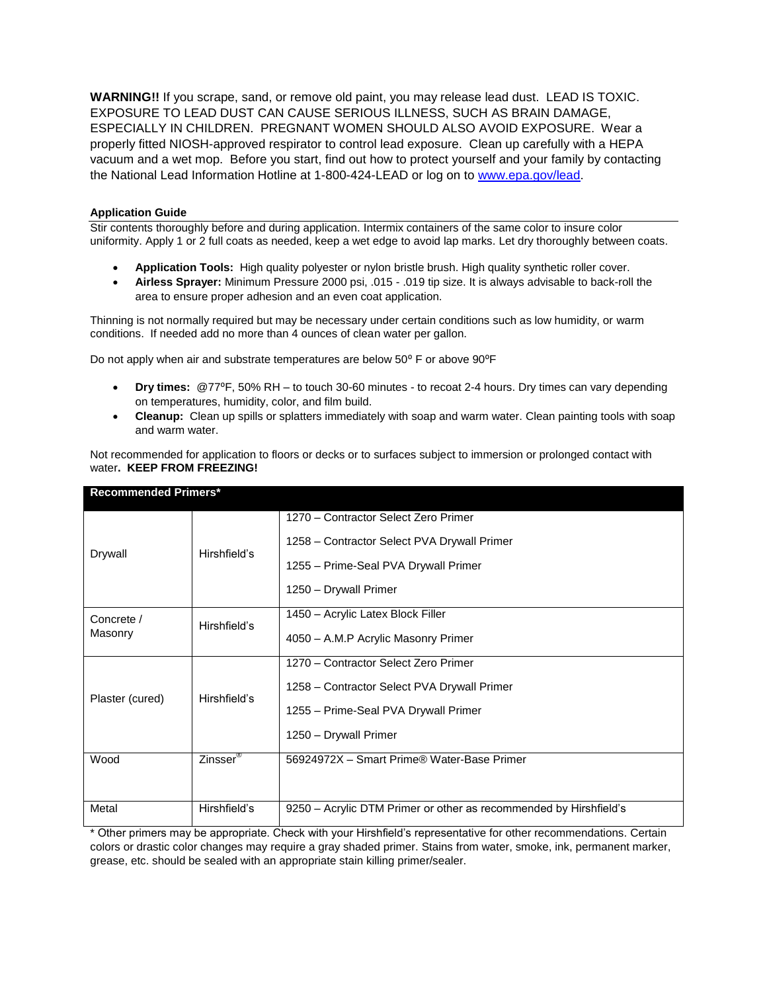**WARNING!!** If you scrape, sand, or remove old paint, you may release lead dust. LEAD IS TOXIC. EXPOSURE TO LEAD DUST CAN CAUSE SERIOUS ILLNESS, SUCH AS BRAIN DAMAGE, ESPECIALLY IN CHILDREN. PREGNANT WOMEN SHOULD ALSO AVOID EXPOSURE. Wear a properly fitted NIOSH-approved respirator to control lead exposure. Clean up carefully with a HEPA vacuum and a wet mop. Before you start, find out how to protect yourself and your family by contacting the National Lead Information Hotline at 1-800-424-LEAD or log on to [www.epa.gov/lead.](http://www.epa.gov/lead)

#### **Application Guide**

Stir contents thoroughly before and during application. Intermix containers of the same color to insure color uniformity. Apply 1 or 2 full coats as needed, keep a wet edge to avoid lap marks. Let dry thoroughly between coats.

- **Application Tools:** High quality polyester or nylon bristle brush. High quality synthetic roller cover.
- **Airless Sprayer:** Minimum Pressure 2000 psi, .015 .019 tip size. It is always advisable to back-roll the area to ensure proper adhesion and an even coat application.

Thinning is not normally required but may be necessary under certain conditions such as low humidity, or warm conditions. If needed add no more than 4 ounces of clean water per gallon.

Do not apply when air and substrate temperatures are below 50° F or above 90°F

- **Dry times:** @77⁰F, 50% RH to touch 30-60 minutes to recoat 2-4 hours. Dry times can vary depending on temperatures, humidity, color, and film build.
- **Cleanup:** Clean up spills or splatters immediately with soap and warm water. Clean painting tools with soap and warm water.

Not recommended for application to floors or decks or to surfaces subject to immersion or prolonged contact with water**. KEEP FROM FREEZING!**

| <b>Recommended Primers*</b> |                      |                                                                   |  |
|-----------------------------|----------------------|-------------------------------------------------------------------|--|
|                             |                      | 1270 - Contractor Select Zero Primer                              |  |
| Drywall                     | Hirshfield's         | 1258 – Contractor Select PVA Drywall Primer                       |  |
|                             |                      | 1255 - Prime-Seal PVA Drywall Primer                              |  |
| Concrete /                  | Hirshfield's         | 1250 - Drywall Primer                                             |  |
|                             |                      | 1450 - Acrylic Latex Block Filler                                 |  |
| Masonry<br>Plaster (cured)  | Hirshfield's         | 4050 - A.M.P Acrylic Masonry Primer                               |  |
|                             |                      | 1270 – Contractor Select Zero Primer                              |  |
|                             |                      | 1258 – Contractor Select PVA Drywall Primer                       |  |
|                             |                      | 1255 - Prime-Seal PVA Drywall Primer                              |  |
|                             |                      | 1250 - Drywall Primer                                             |  |
| Wood                        | Zinsser <sup>®</sup> | 56924972X - Smart Prime® Water-Base Primer                        |  |
|                             |                      |                                                                   |  |
| Metal                       | Hirshfield's         | 9250 – Acrylic DTM Primer or other as recommended by Hirshfield's |  |

\* Other primers may be appropriate. Check with your Hirshfield's representative for other recommendations. Certain colors or drastic color changes may require a gray shaded primer. Stains from water, smoke, ink, permanent marker, grease, etc. should be sealed with an appropriate stain killing primer/sealer.